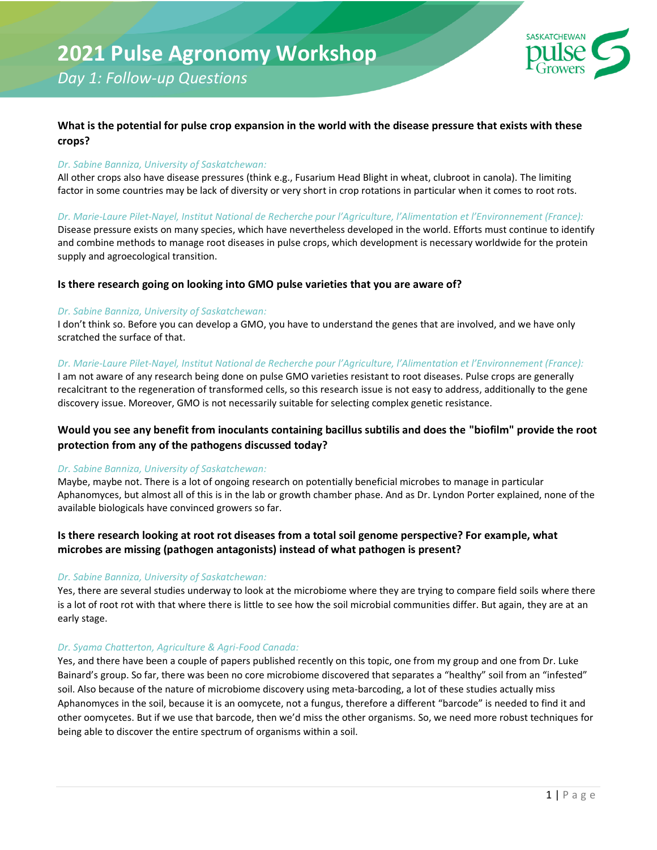

## *Day 1: Follow-up Questions*

## **What is the potential for pulse crop expansion in the world with the disease pressure that exists with these crops?**

## *Dr. Sabine Banniza, University of Saskatchewan:*

All other crops also have disease pressures (think e.g., Fusarium Head Blight in wheat, clubroot in canola). The limiting factor in some countries may be lack of diversity or very short in crop rotations in particular when it comes to root rots.

*Dr. Marie-Laure Pilet-Nayel, Institut National de Recherche pour l'Agriculture, l'Alimentation et l'Environnement (France):*

Disease pressure exists on many species, which have nevertheless developed in the world. Efforts must continue to identify and combine methods to manage root diseases in pulse crops, which development is necessary worldwide for the protein supply and agroecological transition.

## **Is there research going on looking into GMO pulse varieties that you are aware of?**

## *Dr. Sabine Banniza, University of Saskatchewan:*

I don't think so. Before you can develop a GMO, you have to understand the genes that are involved, and we have only scratched the surface of that.

## *Dr. Marie-Laure Pilet-Nayel, Institut National de Recherche pour l'Agriculture, l'Alimentation et l'Environnement (France):*

I am not aware of any research being done on pulse GMO varieties resistant to root diseases. Pulse crops are generally recalcitrant to the regeneration of transformed cells, so this research issue is not easy to address, additionally to the gene discovery issue. Moreover, GMO is not necessarily suitable for selecting complex genetic resistance.

## **Would you see any benefit from inoculants containing bacillus subtilis and does the "biofilm" provide the root protection from any of the pathogens discussed today?**

## *Dr. Sabine Banniza, University of Saskatchewan:*

Maybe, maybe not. There is a lot of ongoing research on potentially beneficial microbes to manage in particular Aphanomyces, but almost all of this is in the lab or growth chamber phase. And as Dr. Lyndon Porter explained, none of the available biologicals have convinced growers so far.

## **Is there research looking at root rot diseases from a total soil genome perspective? For example, what microbes are missing (pathogen antagonists) instead of what pathogen is present?**

## *Dr. Sabine Banniza, University of Saskatchewan:*

Yes, there are several studies underway to look at the microbiome where they are trying to compare field soils where there is a lot of root rot with that where there is little to see how the soil microbial communities differ. But again, they are at an early stage.

## *Dr. Syama Chatterton, Agriculture & Agri-Food Canada:*

Yes, and there have been a couple of papers published recently on this topic, one from my group and one from Dr. Luke Bainard's group. So far, there was been no core microbiome discovered that separates a "healthy" soil from an "infested" soil. Also because of the nature of microbiome discovery using meta-barcoding, a lot of these studies actually miss Aphanomyces in the soil, because it is an oomycete, not a fungus, therefore a different "barcode" is needed to find it and other oomycetes. But if we use that barcode, then we'd miss the other organisms. So, we need more robust techniques for being able to discover the entire spectrum of organisms within a soil.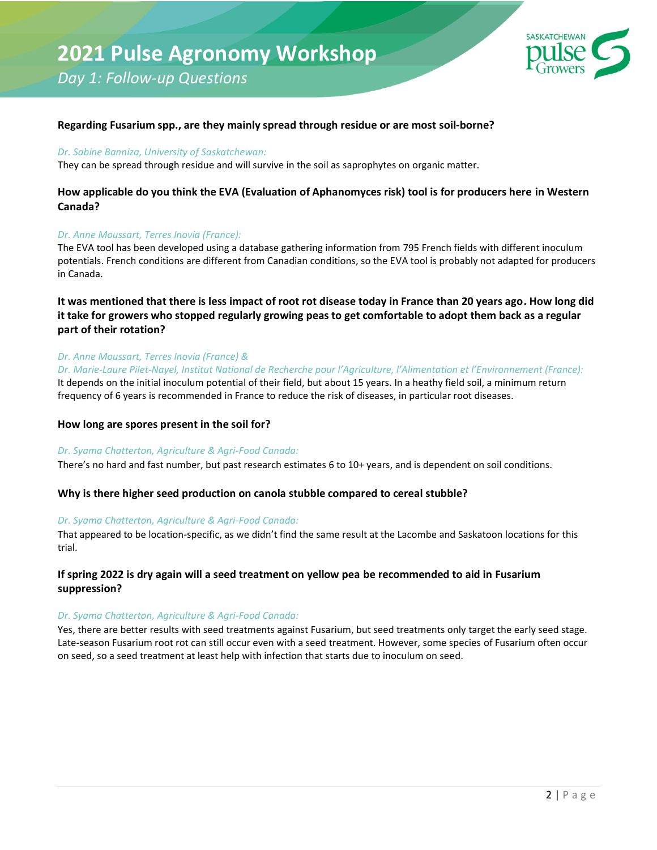## **2021 Pulse Agronomy Workshop**

*Day 1: Follow-up Questions*



#### **Regarding Fusarium spp., are they mainly spread through residue or are most soil-borne?**

#### *Dr. Sabine Banniza, University of Saskatchewan:*

They can be spread through residue and will survive in the soil as saprophytes on organic matter.

## **How applicable do you think the EVA (Evaluation of Aphanomyces risk) tool is for producers here in Western Canada?**

#### *Dr. Anne Moussart, Terres Inovia (France):*

The EVA tool has been developed using a database gathering information from 795 French fields with different inoculum potentials. French conditions are different from Canadian conditions, so the EVA tool is probably not adapted for producers in Canada.

## **It was mentioned that there is less impact of root rot disease today in France than 20 years ago. How long did it take for growers who stopped regularly growing peas to get comfortable to adopt them back as a regular part of their rotation?**

#### *Dr. Anne Moussart, Terres Inovia (France) &*

*Dr. Marie-Laure Pilet-Nayel, Institut National de Recherche pour l'Agriculture, l'Alimentation et l'Environnement (France):* It depends on the initial inoculum potential of their field, but about 15 years. In a heathy field soil, a minimum return frequency of 6 years is recommended in France to reduce the risk of diseases, in particular root diseases.

#### **How long are spores present in the soil for?**

#### *Dr. Syama Chatterton, Agriculture & Agri-Food Canada:*

There's no hard and fast number, but past research estimates 6 to 10+ years, and is dependent on soil conditions.

#### **Why is there higher seed production on canola stubble compared to cereal stubble?**

#### *Dr. Syama Chatterton, Agriculture & Agri-Food Canada:*

That appeared to be location-specific, as we didn't find the same result at the Lacombe and Saskatoon locations for this trial.

#### **If spring 2022 is dry again will a seed treatment on yellow pea be recommended to aid in Fusarium suppression?**

#### *Dr. Syama Chatterton, Agriculture & Agri-Food Canada:*

Yes, there are better results with seed treatments against Fusarium, but seed treatments only target the early seed stage. Late-season Fusarium root rot can still occur even with a seed treatment. However, some species of Fusarium often occur on seed, so a seed treatment at least help with infection that starts due to inoculum on seed.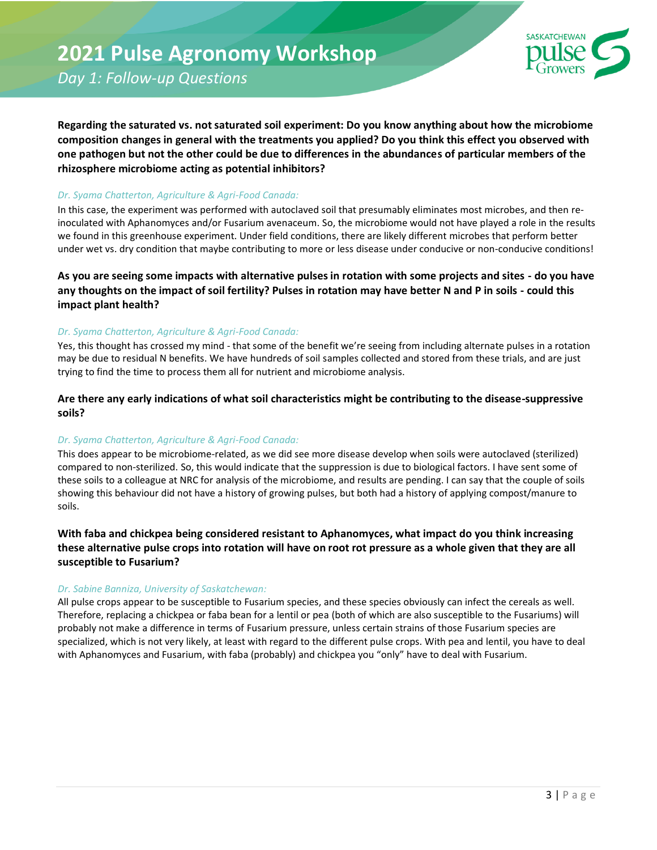*Day 1: Follow-up Questions*



Regarding the saturated vs. not saturated soil experiment: Do you know anything about how the microbiome **composition changes in general with the treatments you applied? Do you think this effect you observed with one pathogen but not the other could be due to differences in the abundances of particular members of the rhizosphere microbiome acting as potential inhibitors?**

#### *Dr. Syama Chatterton, Agriculture & Agri-Food Canada:*

In this case, the experiment was performed with autoclaved soil that presumably eliminates most microbes, and then reinoculated with Aphanomyces and/or Fusarium avenaceum. So, the microbiome would not have played a role in the results we found in this greenhouse experiment. Under field conditions, there are likely different microbes that perform better under wet vs. dry condition that maybe contributing to more or less disease under conducive or non-conducive conditions!

**As you are seeing some impacts with alternative pulses in rotation with some projects and sites - do you have any thoughts on the impact of soil fertility? Pulses in rotation may have better N and P in soils - could this impact plant health?**

#### *Dr. Syama Chatterton, Agriculture & Agri-Food Canada:*

Yes, this thought has crossed my mind - that some of the benefit we're seeing from including alternate pulses in a rotation may be due to residual N benefits. We have hundreds of soil samples collected and stored from these trials, and are just trying to find the time to process them all for nutrient and microbiome analysis.

**Are there any early indications of what soil characteristics might be contributing to the disease-suppressive soils?**

## *Dr. Syama Chatterton, Agriculture & Agri-Food Canada:*

This does appear to be microbiome-related, as we did see more disease develop when soils were autoclaved (sterilized) compared to non-sterilized. So, this would indicate that the suppression is due to biological factors. I have sent some of these soils to a colleague at NRC for analysis of the microbiome, and results are pending. I can say that the couple of soils showing this behaviour did not have a history of growing pulses, but both had a history of applying compost/manure to soils.

**With faba and chickpea being considered resistant to Aphanomyces, what impact do you think increasing these alternative pulse crops into rotation will have on root rot pressure as a whole given that they are all susceptible to Fusarium?** 

#### *Dr. Sabine Banniza, University of Saskatchewan:*

All pulse crops appear to be susceptible to Fusarium species, and these species obviously can infect the cereals as well. Therefore, replacing a chickpea or faba bean for a lentil or pea (both of which are also susceptible to the Fusariums) will probably not make a difference in terms of Fusarium pressure, unless certain strains of those Fusarium species are specialized, which is not very likely, at least with regard to the different pulse crops. With pea and lentil, you have to deal with Aphanomyces and Fusarium, with faba (probably) and chickpea you "only" have to deal with Fusarium.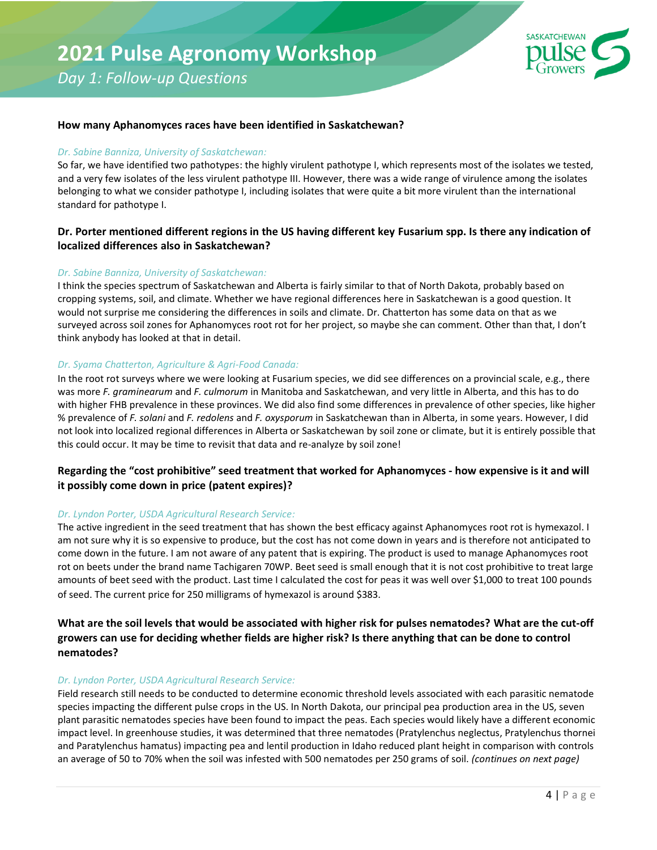# **2021 Pulse Agronomy Workshop**

*Day 1: Follow-up Questions*



#### **How many Aphanomyces races have been identified in Saskatchewan?**

#### *Dr. Sabine Banniza, University of Saskatchewan:*

So far, we have identified two pathotypes: the highly virulent pathotype I, which represents most of the isolates we tested, and a very few isolates of the less virulent pathotype III. However, there was a wide range of virulence among the isolates belonging to what we consider pathotype I, including isolates that were quite a bit more virulent than the international standard for pathotype I.

## **Dr. Porter mentioned different regions in the US having different key Fusarium spp. Is there any indication of localized differences also in Saskatchewan?**

#### *Dr. Sabine Banniza, University of Saskatchewan:*

I think the species spectrum of Saskatchewan and Alberta is fairly similar to that of North Dakota, probably based on cropping systems, soil, and climate. Whether we have regional differences here in Saskatchewan is a good question. It would not surprise me considering the differences in soils and climate. Dr. Chatterton has some data on that as we surveyed across soil zones for Aphanomyces root rot for her project, so maybe she can comment. Other than that, I don't think anybody has looked at that in detail.

#### *Dr. Syama Chatterton, Agriculture & Agri-Food Canada:*

In the root rot surveys where we were looking at Fusarium species, we did see differences on a provincial scale, e.g., there was more *F. graminearum* and *F. culmorum* in Manitoba and Saskatchewan, and very little in Alberta, and this has to do with higher FHB prevalence in these provinces. We did also find some differences in prevalence of other species, like higher % prevalence of *F. solani* and *F. redolens* and *F. oxysporum* in Saskatchewan than in Alberta, in some years. However, I did not look into localized regional differences in Alberta or Saskatchewan by soil zone or climate, but it is entirely possible that this could occur. It may be time to revisit that data and re-analyze by soil zone!

## **Regarding the "cost prohibitive" seed treatment that worked for Aphanomyces - how expensive is it and will it possibly come down in price (patent expires)?**

#### *Dr. Lyndon Porter, USDA Agricultural Research Service:*

The active ingredient in the seed treatment that has shown the best efficacy against Aphanomyces root rot is hymexazol. I am not sure why it is so expensive to produce, but the cost has not come down in years and is therefore not anticipated to come down in the future. I am not aware of any patent that is expiring. The product is used to manage Aphanomyces root rot on beets under the brand name Tachigaren 70WP. Beet seed is small enough that it is not cost prohibitive to treat large amounts of beet seed with the product. Last time I calculated the cost for peas it was well over \$1,000 to treat 100 pounds of seed. The current price for 250 milligrams of hymexazol is around \$383.

## **What are the soil levels that would be associated with higher risk for pulses nematodes? What are the cut-off growers can use for deciding whether fields are higher risk? Is there anything that can be done to control nematodes?**

#### *Dr. Lyndon Porter, USDA Agricultural Research Service:*

Field research still needs to be conducted to determine economic threshold levels associated with each parasitic nematode species impacting the different pulse crops in the US. In North Dakota, our principal pea production area in the US, seven plant parasitic nematodes species have been found to impact the peas. Each species would likely have a different economic impact level. In greenhouse studies, it was determined that three nematodes (Pratylenchus neglectus, Pratylenchus thornei and Paratylenchus hamatus) impacting pea and lentil production in Idaho reduced plant height in comparison with controls an average of 50 to 70% when the soil was infested with 500 nematodes per 250 grams of soil. *(continues on next page)*